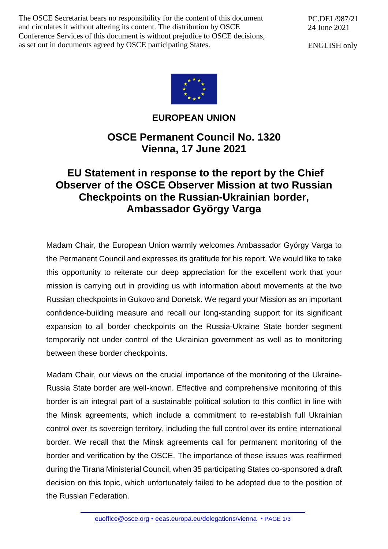The OSCE Secretariat bears no responsibility for the content of this document and circulates it without altering its content. The distribution by OSCE Conference Services of this document is without prejudice to OSCE decisions, as set out in documents agreed by OSCE participating States.

PC.DEL/987/21 24 June 2021

ENGLISH only



## **EUROPEAN UNION**

**OSCE Permanent Council No. 1320 Vienna, 17 June 2021**

## **EU Statement in response to the report by the Chief Observer of the OSCE Observer Mission at two Russian Checkpoints on the Russian-Ukrainian border, Ambassador György Varga**

Madam Chair, the European Union warmly welcomes Ambassador György Varga to the Permanent Council and expresses its gratitude for his report. We would like to take this opportunity to reiterate our deep appreciation for the excellent work that your mission is carrying out in providing us with information about movements at the two Russian checkpoints in Gukovo and Donetsk. We regard your Mission as an important confidence-building measure and recall our long-standing support for its significant expansion to all border checkpoints on the Russia-Ukraine State border segment temporarily not under control of the Ukrainian government as well as to monitoring between these border checkpoints.

Madam Chair, our views on the crucial importance of the monitoring of the Ukraine-Russia State border are well-known. Effective and comprehensive monitoring of this border is an integral part of a sustainable political solution to this conflict in line with the Minsk agreements, which include a commitment to re-establish full Ukrainian control over its sovereign territory, including the full control over its entire international border. We recall that the Minsk agreements call for permanent monitoring of the border and verification by the OSCE. The importance of these issues was reaffirmed during the Tirana Ministerial Council, when 35 participating States co-sponsored a draft decision on this topic, which unfortunately failed to be adopted due to the position of the Russian Federation.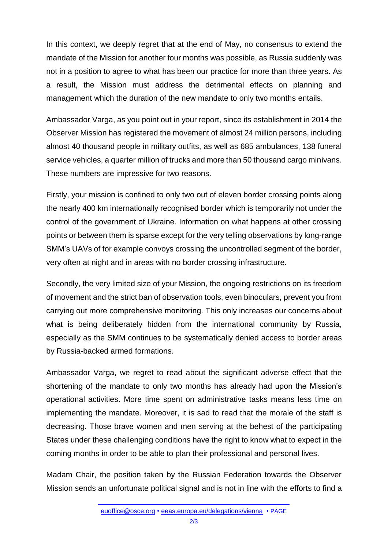In this context, we deeply regret that at the end of May, no consensus to extend the mandate of the Mission for another four months was possible, as Russia suddenly was not in a position to agree to what has been our practice for more than three years. As a result, the Mission must address the detrimental effects on planning and management which the duration of the new mandate to only two months entails.

Ambassador Varga, as you point out in your report, since its establishment in 2014 the Observer Mission has registered the movement of almost 24 million persons, including almost 40 thousand people in military outfits, as well as 685 ambulances, 138 funeral service vehicles, a quarter million of trucks and more than 50 thousand cargo minivans. These numbers are impressive for two reasons.

Firstly, your mission is confined to only two out of eleven border crossing points along the nearly 400 km internationally recognised border which is temporarily not under the control of the government of Ukraine. Information on what happens at other crossing points or between them is sparse except for the very telling observations by long-range SMM's UAVs of for example convoys crossing the uncontrolled segment of the border, very often at night and in areas with no border crossing infrastructure.

Secondly, the very limited size of your Mission, the ongoing restrictions on its freedom of movement and the strict ban of observation tools, even binoculars, prevent you from carrying out more comprehensive monitoring. This only increases our concerns about what is being deliberately hidden from the international community by Russia, especially as the SMM continues to be systematically denied access to border areas by Russia-backed armed formations.

Ambassador Varga, we regret to read about the significant adverse effect that the shortening of the mandate to only two months has already had upon the Mission's operational activities. More time spent on administrative tasks means less time on implementing the mandate. Moreover, it is sad to read that the morale of the staff is decreasing. Those brave women and men serving at the behest of the participating States under these challenging conditions have the right to know what to expect in the coming months in order to be able to plan their professional and personal lives.

Madam Chair, the position taken by the Russian Federation towards the Observer Mission sends an unfortunate political signal and is not in line with the efforts to find a